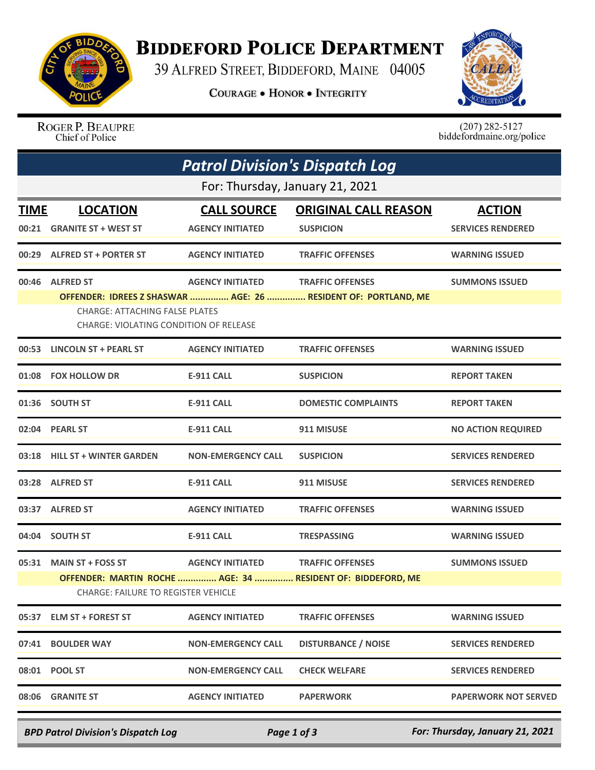

## **BIDDEFORD POLICE DEPARTMENT**

39 ALFRED STREET, BIDDEFORD, MAINE 04005

**COURAGE . HONOR . INTEGRITY** 



ROGER P. BEAUPRE Chief of Police

 $(207)$  282-5127<br>biddefordmaine.org/police

| <b>Patrol Division's Dispatch Log</b> |                                                                                                    |                                               |                                                                                           |                                           |  |  |  |
|---------------------------------------|----------------------------------------------------------------------------------------------------|-----------------------------------------------|-------------------------------------------------------------------------------------------|-------------------------------------------|--|--|--|
|                                       | For: Thursday, January 21, 2021                                                                    |                                               |                                                                                           |                                           |  |  |  |
| <b>TIME</b><br>00:21                  | <b>LOCATION</b><br><b>GRANITE ST + WEST ST</b>                                                     | <b>CALL SOURCE</b><br><b>AGENCY INITIATED</b> | <b>ORIGINAL CALL REASON</b><br><b>SUSPICION</b>                                           | <b>ACTION</b><br><b>SERVICES RENDERED</b> |  |  |  |
|                                       | 00:29 ALFRED ST + PORTER ST                                                                        | <b>AGENCY INITIATED</b>                       | <b>TRAFFIC OFFENSES</b>                                                                   | <b>WARNING ISSUED</b>                     |  |  |  |
|                                       | 00:46 ALFRED ST<br><b>CHARGE: ATTACHING FALSE PLATES</b><br>CHARGE: VIOLATING CONDITION OF RELEASE | <b>AGENCY INITIATED</b>                       | <b>TRAFFIC OFFENSES</b><br>OFFENDER: IDREES Z SHASWAR  AGE: 26  RESIDENT OF: PORTLAND, ME | <b>SUMMONS ISSUED</b>                     |  |  |  |
|                                       | 00:53 LINCOLN ST + PEARL ST                                                                        | <b>AGENCY INITIATED</b>                       | <b>TRAFFIC OFFENSES</b>                                                                   | <b>WARNING ISSUED</b>                     |  |  |  |
|                                       | 01:08 FOX HOLLOW DR                                                                                | E-911 CALL                                    | <b>SUSPICION</b>                                                                          | <b>REPORT TAKEN</b>                       |  |  |  |
|                                       | 01:36 SOUTH ST                                                                                     | <b>E-911 CALL</b>                             | <b>DOMESTIC COMPLAINTS</b>                                                                | <b>REPORT TAKEN</b>                       |  |  |  |
|                                       | 02:04 PEARL ST                                                                                     | <b>E-911 CALL</b>                             | 911 MISUSE                                                                                | <b>NO ACTION REQUIRED</b>                 |  |  |  |
|                                       | 03:18 HILL ST + WINTER GARDEN                                                                      | <b>NON-EMERGENCY CALL</b>                     | <b>SUSPICION</b>                                                                          | <b>SERVICES RENDERED</b>                  |  |  |  |
|                                       | 03:28 ALFRED ST                                                                                    | <b>E-911 CALL</b>                             | 911 MISUSE                                                                                | <b>SERVICES RENDERED</b>                  |  |  |  |
|                                       | 03:37 ALFRED ST                                                                                    | <b>AGENCY INITIATED</b>                       | <b>TRAFFIC OFFENSES</b>                                                                   | <b>WARNING ISSUED</b>                     |  |  |  |
|                                       | 04:04 SOUTH ST                                                                                     | <b>E-911 CALL</b>                             | <b>TRESPASSING</b>                                                                        | <b>WARNING ISSUED</b>                     |  |  |  |
|                                       | 05:31 MAIN ST + FOSS ST<br><b>CHARGE: FAILURE TO REGISTER VEHICLE</b>                              | <b>AGENCY INITIATED</b>                       | <b>TRAFFIC OFFENSES</b><br>OFFENDER: MARTIN ROCHE  AGE: 34  RESIDENT OF: BIDDEFORD, ME    | <b>SUMMONS ISSUED</b>                     |  |  |  |
|                                       | 05:37 ELM ST + FOREST ST                                                                           | <b>AGENCY INITIATED</b>                       | <b>TRAFFIC OFFENSES</b>                                                                   | <b>WARNING ISSUED</b>                     |  |  |  |
|                                       | 07:41 BOULDER WAY                                                                                  | <b>NON-EMERGENCY CALL</b>                     | <b>DISTURBANCE / NOISE</b>                                                                | <b>SERVICES RENDERED</b>                  |  |  |  |
|                                       | 08:01 POOL ST                                                                                      | <b>NON-EMERGENCY CALL</b>                     | <b>CHECK WELFARE</b>                                                                      | <b>SERVICES RENDERED</b>                  |  |  |  |
|                                       | 08:06 GRANITE ST                                                                                   | <b>AGENCY INITIATED</b>                       | <b>PAPERWORK</b>                                                                          | <b>PAPERWORK NOT SERVED</b>               |  |  |  |

*BPD Patrol Division's Dispatch Log Page 1 of 3 For: Thursday, January 21, 2021*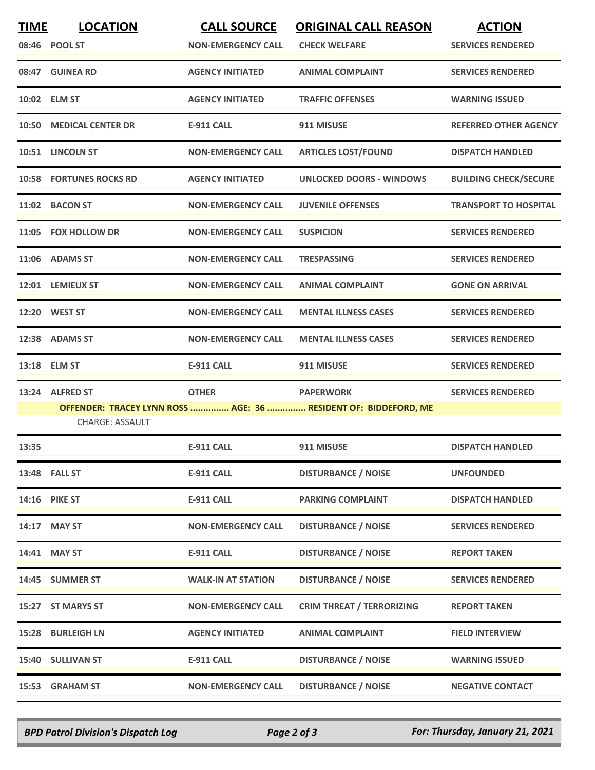| <b>TIME</b> | <b>LOCATION</b><br>08:46 POOL ST | <b>CALL SOURCE</b><br><b>NON-EMERGENCY CALL</b> | <b>ORIGINAL CALL REASON</b><br><b>CHECK WELFARE</b>                                 | <b>ACTION</b><br><b>SERVICES RENDERED</b> |
|-------------|----------------------------------|-------------------------------------------------|-------------------------------------------------------------------------------------|-------------------------------------------|
|             | 08:47 GUINEA RD                  | <b>AGENCY INITIATED</b>                         | <b>ANIMAL COMPLAINT</b>                                                             | <b>SERVICES RENDERED</b>                  |
|             | 10:02 ELM ST                     | <b>AGENCY INITIATED</b>                         | <b>TRAFFIC OFFENSES</b>                                                             | <b>WARNING ISSUED</b>                     |
| 10:50       | <b>MEDICAL CENTER DR</b>         | <b>E-911 CALL</b>                               | 911 MISUSE                                                                          | <b>REFERRED OTHER AGENCY</b>              |
|             | 10:51 LINCOLN ST                 | <b>NON-EMERGENCY CALL</b>                       | <b>ARTICLES LOST/FOUND</b>                                                          | <b>DISPATCH HANDLED</b>                   |
|             | <b>10:58 FORTUNES ROCKS RD</b>   | <b>AGENCY INITIATED</b>                         | <b>UNLOCKED DOORS - WINDOWS</b>                                                     | <b>BUILDING CHECK/SECURE</b>              |
| 11:02       | <b>BACON ST</b>                  | <b>NON-EMERGENCY CALL</b>                       | <b>JUVENILE OFFENSES</b>                                                            | <b>TRANSPORT TO HOSPITAL</b>              |
|             | 11:05 FOX HOLLOW DR              | <b>NON-EMERGENCY CALL</b>                       | <b>SUSPICION</b>                                                                    | <b>SERVICES RENDERED</b>                  |
|             | 11:06 ADAMS ST                   | <b>NON-EMERGENCY CALL</b>                       | <b>TRESPASSING</b>                                                                  | <b>SERVICES RENDERED</b>                  |
|             | 12:01 LEMIEUX ST                 | <b>NON-EMERGENCY CALL</b>                       | <b>ANIMAL COMPLAINT</b>                                                             | <b>GONE ON ARRIVAL</b>                    |
|             | 12:20 WEST ST                    | <b>NON-EMERGENCY CALL</b>                       | <b>MENTAL ILLNESS CASES</b>                                                         | <b>SERVICES RENDERED</b>                  |
|             | 12:38 ADAMS ST                   | <b>NON-EMERGENCY CALL</b>                       | <b>MENTAL ILLNESS CASES</b>                                                         | <b>SERVICES RENDERED</b>                  |
|             | 13:18 ELM ST                     | <b>E-911 CALL</b>                               | 911 MISUSE                                                                          | <b>SERVICES RENDERED</b>                  |
| 13:24       | <b>ALFRED ST</b>                 | <b>OTHER</b>                                    | <b>PAPERWORK</b><br>OFFENDER: TRACEY LYNN ROSS  AGE: 36  RESIDENT OF: BIDDEFORD, ME | <b>SERVICES RENDERED</b>                  |
|             | <b>CHARGE: ASSAULT</b>           |                                                 |                                                                                     |                                           |
| 13:35       |                                  | <b>E-911 CALL</b>                               | 911 MISUSE                                                                          | <b>DISPATCH HANDLED</b>                   |
|             | 13:48 FALL ST                    | E-911 CALL                                      | <b>DISTURBANCE / NOISE</b>                                                          | <b>UNFOUNDED</b>                          |
|             | 14:16 PIKE ST                    | E-911 CALL                                      | <b>PARKING COMPLAINT</b>                                                            | <b>DISPATCH HANDLED</b>                   |
| 14:17       | <b>MAY ST</b>                    | <b>NON-EMERGENCY CALL</b>                       | <b>DISTURBANCE / NOISE</b>                                                          | <b>SERVICES RENDERED</b>                  |
|             | 14:41 MAY ST                     | <b>E-911 CALL</b>                               | <b>DISTURBANCE / NOISE</b>                                                          | <b>REPORT TAKEN</b>                       |
|             | 14:45 SUMMER ST                  | <b>WALK-IN AT STATION</b>                       | <b>DISTURBANCE / NOISE</b>                                                          | <b>SERVICES RENDERED</b>                  |
| 15:27       | <b>ST MARYS ST</b>               | <b>NON-EMERGENCY CALL</b>                       | <b>CRIM THREAT / TERRORIZING</b>                                                    | <b>REPORT TAKEN</b>                       |
| 15:28       | <b>BURLEIGH LN</b>               | <b>AGENCY INITIATED</b>                         | <b>ANIMAL COMPLAINT</b>                                                             | <b>FIELD INTERVIEW</b>                    |
|             | 15:40 SULLIVAN ST                | <b>E-911 CALL</b>                               | <b>DISTURBANCE / NOISE</b>                                                          | <b>WARNING ISSUED</b>                     |
| 15:53       | <b>GRAHAM ST</b>                 | <b>NON-EMERGENCY CALL</b>                       | <b>DISTURBANCE / NOISE</b>                                                          | <b>NEGATIVE CONTACT</b>                   |

*BPD Patrol Division's Dispatch Log Page 2 of 3 For: Thursday, January 21, 2021*